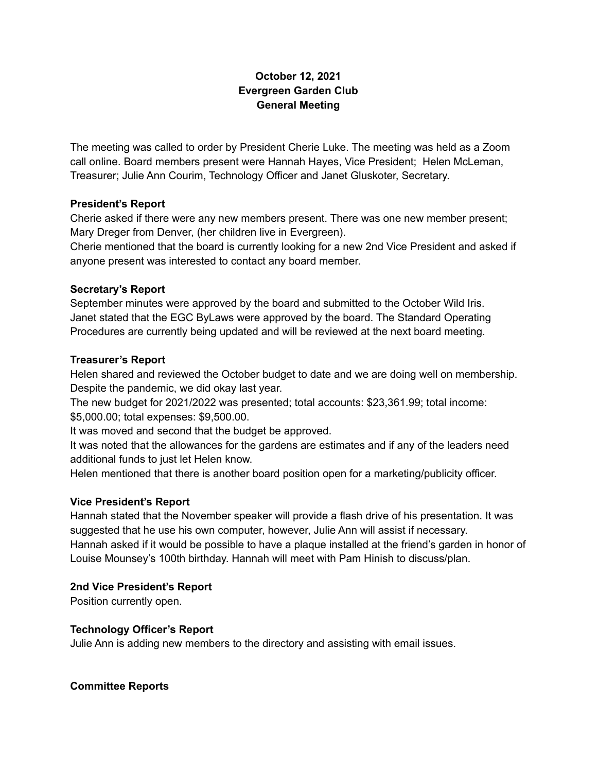# **October 12, 2021 Evergreen Garden Club General Meeting**

The meeting was called to order by President Cherie Luke. The meeting was held as a Zoom call online. Board members present were Hannah Hayes, Vice President; Helen McLeman, Treasurer; Julie Ann Courim, Technology Officer and Janet Gluskoter, Secretary.

### **President's Report**

Cherie asked if there were any new members present. There was one new member present; Mary Dreger from Denver, (her children live in Evergreen).

Cherie mentioned that the board is currently looking for a new 2nd Vice President and asked if anyone present was interested to contact any board member.

#### **Secretary's Report**

September minutes were approved by the board and submitted to the October Wild Iris. Janet stated that the EGC ByLaws were approved by the board. The Standard Operating Procedures are currently being updated and will be reviewed at the next board meeting.

### **Treasurer's Report**

Helen shared and reviewed the October budget to date and we are doing well on membership. Despite the pandemic, we did okay last year.

The new budget for 2021/2022 was presented; total accounts: \$23,361.99; total income: \$5,000.00; total expenses: \$9,500.00.

It was moved and second that the budget be approved.

It was noted that the allowances for the gardens are estimates and if any of the leaders need additional funds to just let Helen know.

Helen mentioned that there is another board position open for a marketing/publicity officer.

## **Vice President's Report**

Hannah stated that the November speaker will provide a flash drive of his presentation. It was suggested that he use his own computer, however, Julie Ann will assist if necessary. Hannah asked if it would be possible to have a plaque installed at the friend's garden in honor of Louise Mounsey's 100th birthday. Hannah will meet with Pam Hinish to discuss/plan.

## **2nd Vice President's Report**

Position currently open.

## **Technology Officer's Report**

Julie Ann is adding new members to the directory and assisting with email issues.

**Committee Reports**